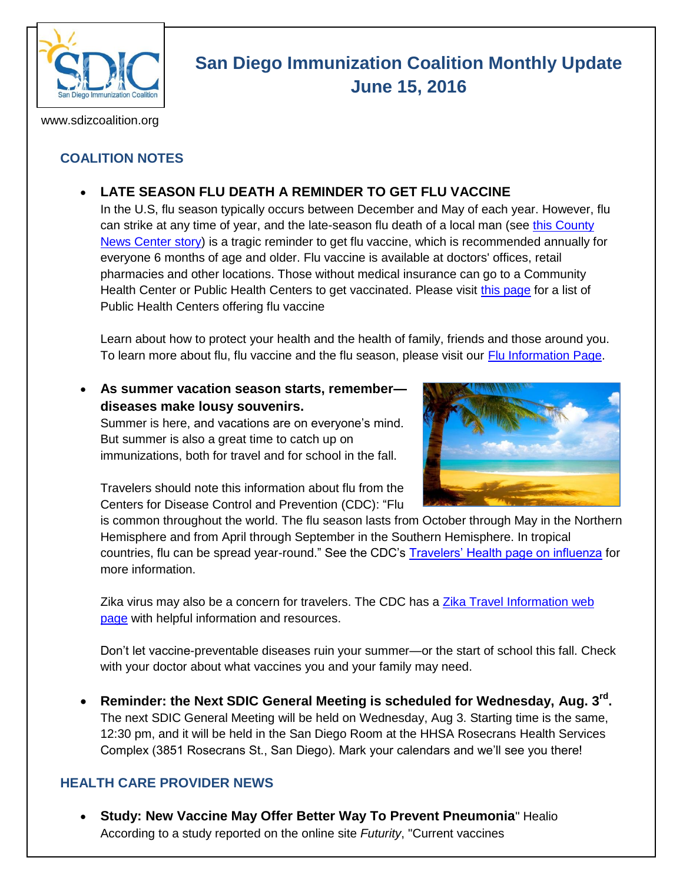

# **San Diego Immunization Coalition Monthly Update June 15, 2016**

www.sdizcoalition.org

## **COALITION NOTES**

## **LATE SEASON FLU DEATH A REMINDER TO GET FLU VACCINE**

In the U.S, flu season typically occurs between December and May of each year. However, flu can strike at any time of year, and the late-season flu death of a local man (see this County [News Center story\)](http://www.countynewscenter.com/late-season-influenza-death-a-reminder-to-get-vaccinated/) is a tragic reminder to get flu vaccine, which is recommended annually for everyone 6 months of age and older. Flu vaccine is available at doctors' offices, retail pharmacies and other locations. Those without medical insurance can go to a Community Health Center or Public Health Centers to get vaccinated. Please visit [this page](http://www.sdiz.org/Community/Features/Flu-2015-2016-clinics.html) for a list of Public Health Centers offering flu vaccine

Learn about how to protect your health and the health of family, friends and those around you. To learn more about flu, flu vaccine and the flu season, please visit our [Flu Information Page.](http://www.sdiz.org/Community/Features/Flu-2015-2016.html)

### **As summer vacation season starts, remember diseases make lousy souvenirs.**

Summer is here, and vacations are on everyone's mind. But summer is also a great time to catch up on immunizations, both for travel and for school in the fall.



Travelers should note this information about flu from the Centers for Disease Control and Prevention (CDC): "Flu

is common throughout the world. The flu season lasts from October through May in the Northern Hemisphere and from April through September in the Southern Hemisphere. In tropical countries, flu can be spread year-round." See the CDC's [Travelers' Health page on influenza](http://wwwnc.cdc.gov/travel/diseases/influenza-seasonal-zoonotic-and-pandemic) for more information.

Zika virus may also be a concern for travelers. The CDC has a Zika Travel Information web [page](http://wwwnc.cdc.gov/travel/page/zika-information) with helpful information and resources.

Don't let vaccine-preventable diseases ruin your summer—or the start of school this fall. Check with your doctor about what vaccines you and your family may need.

 **Reminder: the Next SDIC General Meeting is scheduled for Wednesday, Aug. 3rd .**  The next SDIC General Meeting will be held on Wednesday, Aug 3. Starting time is the same, 12:30 pm, and it will be held in the San Diego Room at the HHSA Rosecrans Health Services Complex (3851 Rosecrans St., San Diego). Mark your calendars and we'll see you there!

#### **HEALTH CARE PROVIDER NEWS**

 **Study: New Vaccine May Offer Better Way To Prevent Pneumonia**" Healio According to a study reported on the online site *Futurity*, "Current vaccines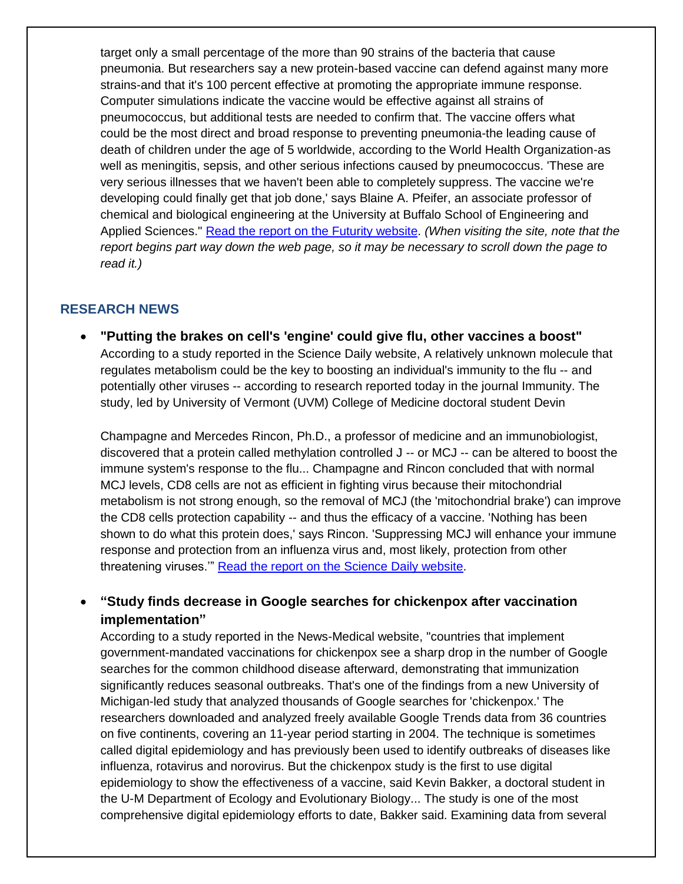target only a small percentage of the more than 90 strains of the bacteria that cause pneumonia. But researchers say a new protein-based vaccine can defend against many more strains-and that it's 100 percent effective at promoting the appropriate immune response. Computer simulations indicate the vaccine would be effective against all strains of pneumococcus, but additional tests are needed to confirm that. The vaccine offers what could be the most direct and broad response to preventing pneumonia-the leading cause of death of children under the age of 5 worldwide, according to the World Health Organization-as well as meningitis, sepsis, and other serious infections caused by pneumococcus. 'These are very serious illnesses that we haven't been able to completely suppress. The vaccine we're developing could finally get that job done,' says Blaine A. Pfeifer, an associate professor of chemical and biological engineering at the University at Buffalo School of Engineering and Applied Sciences." [Read the report on the Futurity website.](http://www.futurity.org/pneumonia-vaccine-1177192-2/) *(When visiting the site, note that the report begins part way down the web page, so it may be necessary to scroll down the page to read it.)*

#### **RESEARCH NEWS**

 **"Putting the brakes on cell's 'engine' could give flu, other vaccines a boost"** According to a study reported in the Science Daily website, A relatively unknown molecule that regulates metabolism could be the key to boosting an individual's immunity to the flu -- and potentially other viruses -- according to research reported today in the journal Immunity. The study, led by University of Vermont (UVM) College of Medicine doctoral student Devin

Champagne and Mercedes Rincon, Ph.D., a professor of medicine and an immunobiologist, discovered that a protein called methylation controlled J -- or MCJ -- can be altered to boost the immune system's response to the flu... Champagne and Rincon concluded that with normal MCJ levels, CD8 cells are not as efficient in fighting virus because their mitochondrial metabolism is not strong enough, so the removal of MCJ (the 'mitochondrial brake') can improve the CD8 cells protection capability -- and thus the efficacy of a vaccine. 'Nothing has been shown to do what this protein does,' says Rincon. 'Suppressing MCJ will enhance your immune response and protection from an influenza virus and, most likely, protection from other threatening viruses.'" [Read the report on the Science Daily website.](https://www.sciencedaily.com/releases/2016/05/160524144703.htm)

 **"Study finds decrease in Google searches for chickenpox after vaccination implementation"**

According to a study reported in the News-Medical website, "countries that implement government-mandated vaccinations for chickenpox see a sharp drop in the number of Google searches for the common childhood disease afterward, demonstrating that immunization significantly reduces seasonal outbreaks. That's one of the findings from a new University of Michigan-led study that analyzed thousands of Google searches for 'chickenpox.' The researchers downloaded and analyzed freely available Google Trends data from 36 countries on five continents, covering an 11-year period starting in 2004. The technique is sometimes called digital epidemiology and has previously been used to identify outbreaks of diseases like influenza, rotavirus and norovirus. But the chickenpox study is the first to use digital epidemiology to show the effectiveness of a vaccine, said Kevin Bakker, a doctoral student in the U-M Department of Ecology and Evolutionary Biology... The study is one of the most comprehensive digital epidemiology efforts to date, Bakker said. Examining data from several